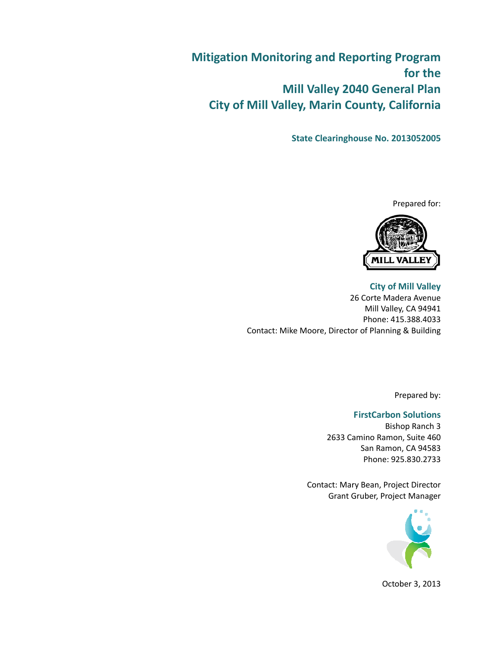**Mitigation Monitoring and Reporting Program for the Mill Valley 2040 General Plan City of Mill Valley, Marin County, California**

**State Clearinghouse No. 2013052005**

Prepared for:



**City of Mill Valley** 26 Corte Madera Avenue Mill Valley, CA 94941 Phone: 415.388.4033 Contact: Mike Moore, Director of Planning & Building

Prepared by:

## **FirstCarbon Solutions**

Bishop Ranch 3 2633 Camino Ramon, Suite 460 San Ramon, CA 94583 Phone: 925.830.2733

Contact: Mary Bean, Project Director Grant Gruber, Project Manager



October 3, 2013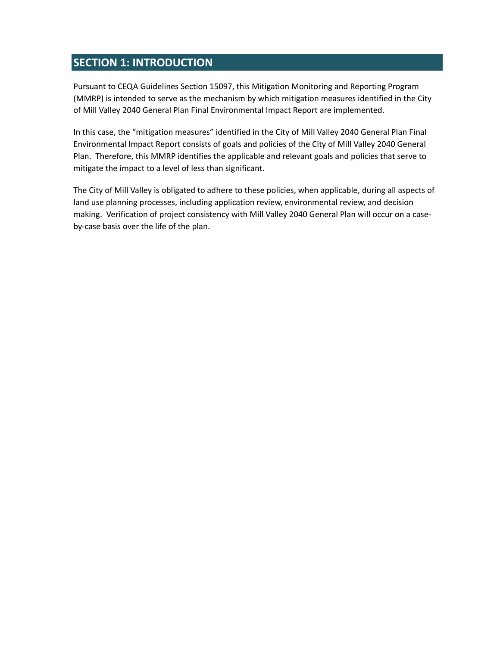## **SECTION 1: INTRODUCTION**

Pursuant to CEQA Guidelines Section 15097, this Mitigation Monitoring and Reporting Program (MMRP) is intended to serve as the mechanism by which mitigation measures identified in the City of Mill Valley 2040 General Plan Final Environmental Impact Report are implemented.

In this case, the "mitigation measures" identified in the City of Mill Valley 2040 General Plan Final Environmental Impact Report consists of goals and policies of the City of Mill Valley 2040 General Plan. Therefore, this MMRP identifies the applicable and relevant goals and policies that serve to mitigate the impact to a level of less than significant.

The City of Mill Valley is obligated to adhere to these policies, when applicable, during all aspects of land use planning processes, including application review, environmental review, and decision making. Verification of project consistency with Mill Valley 2040 General Plan will occur on a case‐ by‐case basis over the life of the plan.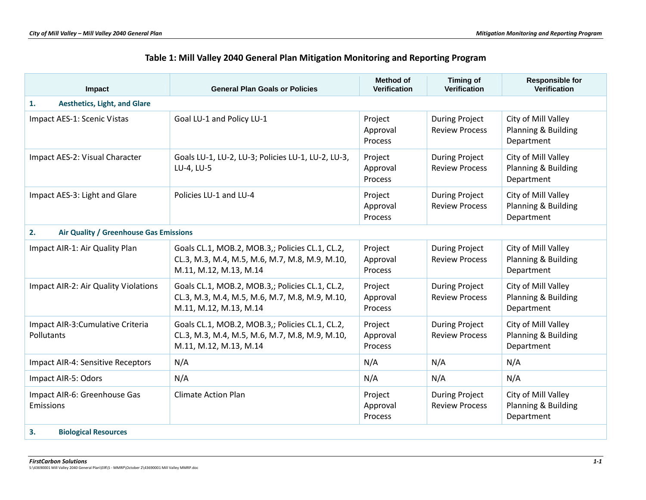| Table 1: Mill Valley 2040 General Plan Mitigation Monitoring and Reporting Program |  |  |
|------------------------------------------------------------------------------------|--|--|
|------------------------------------------------------------------------------------|--|--|

| Impact                                          | <b>General Plan Goals or Policies</b>                                                                                       | <b>Method of</b><br><b>Verification</b> | <b>Timing of</b><br><b>Verification</b>        | <b>Responsible for</b><br><b>Verification</b>            |
|-------------------------------------------------|-----------------------------------------------------------------------------------------------------------------------------|-----------------------------------------|------------------------------------------------|----------------------------------------------------------|
| <b>Aesthetics, Light, and Glare</b><br>1.       |                                                                                                                             |                                         |                                                |                                                          |
| Impact AES-1: Scenic Vistas                     | Goal LU-1 and Policy LU-1                                                                                                   | Project<br>Approval<br>Process          | <b>During Project</b><br><b>Review Process</b> | City of Mill Valley<br>Planning & Building<br>Department |
| Impact AES-2: Visual Character                  | Goals LU-1, LU-2, LU-3; Policies LU-1, LU-2, LU-3,<br>LU-4, LU-5                                                            | Project<br>Approval<br>Process          | <b>During Project</b><br><b>Review Process</b> | City of Mill Valley<br>Planning & Building<br>Department |
| Impact AES-3: Light and Glare                   | Policies LU-1 and LU-4                                                                                                      | Project<br>Approval<br>Process          | <b>During Project</b><br><b>Review Process</b> | City of Mill Valley<br>Planning & Building<br>Department |
| 2.<br>Air Quality / Greenhouse Gas Emissions    |                                                                                                                             |                                         |                                                |                                                          |
| Impact AIR-1: Air Quality Plan                  | Goals CL.1, MOB.2, MOB.3,; Policies CL.1, CL.2,<br>CL.3, M.3, M.4, M.5, M.6, M.7, M.8, M.9, M.10,<br>M.11, M.12, M.13, M.14 | Project<br>Approval<br>Process          | <b>During Project</b><br><b>Review Process</b> | City of Mill Valley<br>Planning & Building<br>Department |
| Impact AIR-2: Air Quality Violations            | Goals CL.1, MOB.2, MOB.3,; Policies CL.1, CL.2,<br>CL.3, M.3, M.4, M.5, M.6, M.7, M.8, M.9, M.10,<br>M.11, M.12, M.13, M.14 | Project<br>Approval<br><b>Process</b>   | <b>During Project</b><br><b>Review Process</b> | City of Mill Valley<br>Planning & Building<br>Department |
| Impact AIR-3: Cumulative Criteria<br>Pollutants | Goals CL.1, MOB.2, MOB.3,; Policies CL.1, CL.2,<br>CL.3, M.3, M.4, M.5, M.6, M.7, M.8, M.9, M.10,<br>M.11, M.12, M.13, M.14 | Project<br>Approval<br>Process          | <b>During Project</b><br><b>Review Process</b> | City of Mill Valley<br>Planning & Building<br>Department |
| Impact AIR-4: Sensitive Receptors               | N/A                                                                                                                         | N/A                                     | N/A                                            | N/A                                                      |
| Impact AIR-5: Odors                             | N/A                                                                                                                         | N/A                                     | N/A                                            | N/A                                                      |
| Impact AIR-6: Greenhouse Gas<br>Emissions       | <b>Climate Action Plan</b>                                                                                                  | Project<br>Approval<br><b>Process</b>   | <b>During Project</b><br><b>Review Process</b> | City of Mill Valley<br>Planning & Building<br>Department |
| 3.<br><b>Biological Resources</b>               |                                                                                                                             |                                         |                                                |                                                          |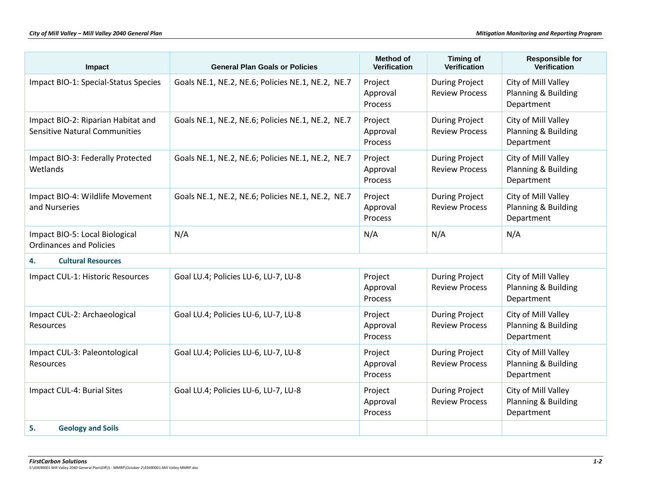| Impact                                                                     | <b>General Plan Goals or Policies</b>             | <b>Method of</b><br><b>Verification</b> | <b>Timing of</b><br>Verification               | <b>Responsible for</b><br><b>Verification</b>            |
|----------------------------------------------------------------------------|---------------------------------------------------|-----------------------------------------|------------------------------------------------|----------------------------------------------------------|
| Impact BIO-1: Special-Status Species                                       | Goals NE.1, NE.2, NE.6; Policies NE.1, NE.2, NE.7 | Project<br>Approval<br>Process          | <b>During Project</b><br><b>Review Process</b> | City of Mill Valley<br>Planning & Building<br>Department |
| Impact BIO-2: Riparian Habitat and<br><b>Sensitive Natural Communities</b> | Goals NE.1, NE.2, NE.6; Policies NE.1, NE.2, NE.7 | Project<br>Approval<br>Process          | <b>During Project</b><br><b>Review Process</b> | City of Mill Valley<br>Planning & Building<br>Department |
| Impact BIO-3: Federally Protected<br>Wetlands                              | Goals NE.1, NE.2, NE.6; Policies NE.1, NE.2, NE.7 | Project<br>Approval<br>Process          | <b>During Project</b><br><b>Review Process</b> | City of Mill Valley<br>Planning & Building<br>Department |
| Impact BIO-4: Wildlife Movement<br>and Nurseries                           | Goals NE.1, NE.2, NE.6; Policies NE.1, NE.2, NE.7 | Project<br>Approval<br>Process          | <b>During Project</b><br><b>Review Process</b> | City of Mill Valley<br>Planning & Building<br>Department |
| Impact BIO-5: Local Biological<br><b>Ordinances and Policies</b>           | N/A                                               | N/A                                     | N/A                                            | N/A                                                      |
| <b>Cultural Resources</b><br>4.                                            |                                                   |                                         |                                                |                                                          |
| Impact CUL-1: Historic Resources                                           | Goal LU.4; Policies LU-6, LU-7, LU-8              | Project<br>Approval<br>Process          | <b>During Project</b><br><b>Review Process</b> | City of Mill Valley<br>Planning & Building<br>Department |
| Impact CUL-2: Archaeological<br>Resources                                  | Goal LU.4; Policies LU-6, LU-7, LU-8              | Project<br>Approval<br>Process          | <b>During Project</b><br><b>Review Process</b> | City of Mill Valley<br>Planning & Building<br>Department |
| Impact CUL-3: Paleontological<br>Resources                                 | Goal LU.4; Policies LU-6, LU-7, LU-8              | Project<br>Approval<br>Process          | <b>During Project</b><br><b>Review Process</b> | City of Mill Valley<br>Planning & Building<br>Department |
| Impact CUL-4: Burial Sites                                                 | Goal LU.4; Policies LU-6, LU-7, LU-8              | Project<br>Approval<br>Process          | <b>During Project</b><br><b>Review Process</b> | City of Mill Valley<br>Planning & Building<br>Department |
| 5.<br><b>Geology and Soils</b>                                             |                                                   |                                         |                                                |                                                          |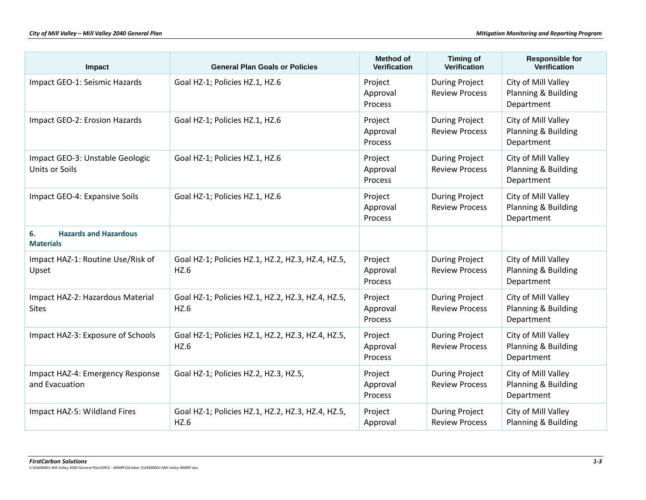| Impact                                                 | <b>General Plan Goals or Policies</b>                     | <b>Method of</b><br><b>Verification</b> | <b>Timing of</b><br><b>Verification</b>        | <b>Responsible for</b><br><b>Verification</b>            |
|--------------------------------------------------------|-----------------------------------------------------------|-----------------------------------------|------------------------------------------------|----------------------------------------------------------|
| Impact GEO-1: Seismic Hazards                          | Goal HZ-1; Policies HZ.1, HZ.6                            | Project<br>Approval<br>Process          | <b>During Project</b><br><b>Review Process</b> | City of Mill Valley<br>Planning & Building<br>Department |
| Impact GEO-2: Erosion Hazards                          | Goal HZ-1; Policies HZ.1, HZ.6                            | Project<br>Approval<br>Process          | <b>During Project</b><br><b>Review Process</b> | City of Mill Valley<br>Planning & Building<br>Department |
| Impact GEO-3: Unstable Geologic<br>Units or Soils      | Goal HZ-1; Policies HZ.1, HZ.6                            | Project<br>Approval<br>Process          | <b>During Project</b><br><b>Review Process</b> | City of Mill Valley<br>Planning & Building<br>Department |
| Impact GEO-4: Expansive Soils                          | Goal HZ-1; Policies HZ.1, HZ.6                            | Project<br>Approval<br>Process          | <b>During Project</b><br><b>Review Process</b> | City of Mill Valley<br>Planning & Building<br>Department |
| <b>Hazards and Hazardous</b><br>6.<br><b>Materials</b> |                                                           |                                         |                                                |                                                          |
| Impact HAZ-1: Routine Use/Risk of<br>Upset             | Goal HZ-1; Policies HZ.1, HZ.2, HZ.3, HZ.4, HZ.5,<br>HZ.6 | Project<br>Approval<br>Process          | <b>During Project</b><br><b>Review Process</b> | City of Mill Valley<br>Planning & Building<br>Department |
| Impact HAZ-2: Hazardous Material<br><b>Sites</b>       | Goal HZ-1; Policies HZ.1, HZ.2, HZ.3, HZ.4, HZ.5,<br>HZ.6 | Project<br>Approval<br>Process          | <b>During Project</b><br><b>Review Process</b> | City of Mill Valley<br>Planning & Building<br>Department |
| Impact HAZ-3: Exposure of Schools                      | Goal HZ-1; Policies HZ.1, HZ.2, HZ.3, HZ.4, HZ.5,<br>HZ.6 | Project<br>Approval<br>Process          | <b>During Project</b><br><b>Review Process</b> | City of Mill Valley<br>Planning & Building<br>Department |
| Impact HAZ-4: Emergency Response<br>and Evacuation     | Goal HZ-1; Policies HZ.2, HZ.3, HZ.5,                     | Project<br>Approval<br>Process          | <b>During Project</b><br><b>Review Process</b> | City of Mill Valley<br>Planning & Building<br>Department |
| Impact HAZ-5: Wildland Fires                           | Goal HZ-1; Policies HZ.1, HZ.2, HZ.3, HZ.4, HZ.5,<br>HZ.6 | Project<br>Approval                     | <b>During Project</b><br><b>Review Process</b> | City of Mill Valley<br>Planning & Building               |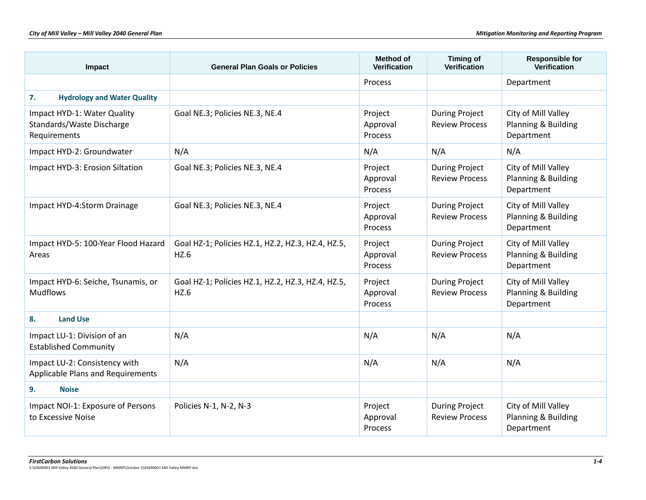| Impact                                                                   | <b>General Plan Goals or Policies</b>                     | Method of<br><b>Verification</b>      | <b>Timing of</b><br>Verification               | <b>Responsible for</b><br>Verification                   |
|--------------------------------------------------------------------------|-----------------------------------------------------------|---------------------------------------|------------------------------------------------|----------------------------------------------------------|
|                                                                          |                                                           | <b>Process</b>                        |                                                | Department                                               |
| 7.<br><b>Hydrology and Water Quality</b>                                 |                                                           |                                       |                                                |                                                          |
| Impact HYD-1: Water Quality<br>Standards/Waste Discharge<br>Requirements | Goal NE.3; Policies NE.3, NE.4                            | Project<br>Approval<br><b>Process</b> | <b>During Project</b><br><b>Review Process</b> | City of Mill Valley<br>Planning & Building<br>Department |
| Impact HYD-2: Groundwater                                                | N/A                                                       | N/A                                   | N/A                                            | N/A                                                      |
| Impact HYD-3: Erosion Siltation                                          | Goal NE.3; Policies NE.3, NE.4                            | Project<br>Approval<br>Process        | <b>During Project</b><br><b>Review Process</b> | City of Mill Valley<br>Planning & Building<br>Department |
| Impact HYD-4:Storm Drainage                                              | Goal NE.3; Policies NE.3, NE.4                            | Project<br>Approval<br>Process        | <b>During Project</b><br><b>Review Process</b> | City of Mill Valley<br>Planning & Building<br>Department |
| Impact HYD-5: 100-Year Flood Hazard<br>Areas                             | Goal HZ-1; Policies HZ.1, HZ.2, HZ.3, HZ.4, HZ.5,<br>HZ.6 | Project<br>Approval<br><b>Process</b> | <b>During Project</b><br><b>Review Process</b> | City of Mill Valley<br>Planning & Building<br>Department |
| Impact HYD-6: Seiche, Tsunamis, or<br><b>Mudflows</b>                    | Goal HZ-1; Policies HZ.1, HZ.2, HZ.3, HZ.4, HZ.5,<br>HZ.6 | Project<br>Approval<br>Process        | <b>During Project</b><br><b>Review Process</b> | City of Mill Valley<br>Planning & Building<br>Department |
| <b>Land Use</b><br>8.                                                    |                                                           |                                       |                                                |                                                          |
| Impact LU-1: Division of an<br><b>Established Community</b>              | N/A                                                       | N/A                                   | N/A                                            | N/A                                                      |
| Impact LU-2: Consistency with<br>Applicable Plans and Requirements       | N/A                                                       | N/A                                   | N/A                                            | N/A                                                      |
| 9.<br><b>Noise</b>                                                       |                                                           |                                       |                                                |                                                          |
| Impact NOI-1: Exposure of Persons<br>to Excessive Noise                  | Policies N-1, N-2, N-3                                    | Project<br>Approval<br>Process        | <b>During Project</b><br><b>Review Process</b> | City of Mill Valley<br>Planning & Building<br>Department |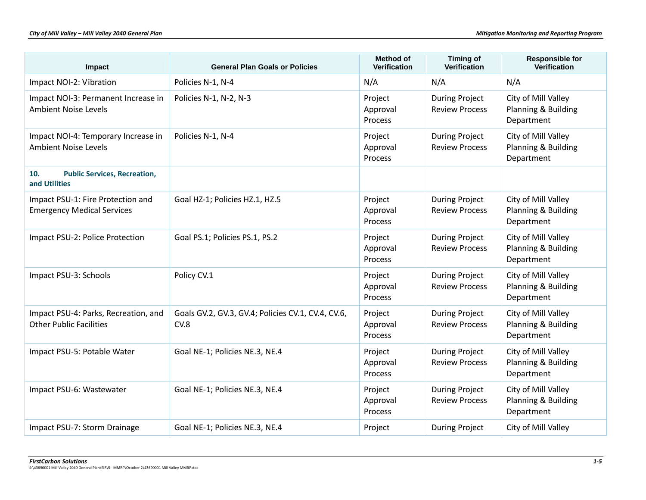| Impact                                                                 | <b>General Plan Goals or Policies</b>                      | Method of<br><b>Verification</b>      | <b>Timing of</b><br><b>Verification</b>        | <b>Responsible for</b><br>Verification                   |
|------------------------------------------------------------------------|------------------------------------------------------------|---------------------------------------|------------------------------------------------|----------------------------------------------------------|
| Impact NOI-2: Vibration                                                | Policies N-1, N-4                                          | N/A                                   | N/A                                            | N/A                                                      |
| Impact NOI-3: Permanent Increase in<br><b>Ambient Noise Levels</b>     | Policies N-1, N-2, N-3                                     | Project<br>Approval<br>Process        | <b>During Project</b><br><b>Review Process</b> | City of Mill Valley<br>Planning & Building<br>Department |
| Impact NOI-4: Temporary Increase in<br><b>Ambient Noise Levels</b>     | Policies N-1, N-4                                          | Project<br>Approval<br><b>Process</b> | <b>During Project</b><br><b>Review Process</b> | City of Mill Valley<br>Planning & Building<br>Department |
| 10.<br><b>Public Services, Recreation,</b><br>and Utilities            |                                                            |                                       |                                                |                                                          |
| Impact PSU-1: Fire Protection and<br><b>Emergency Medical Services</b> | Goal HZ-1; Policies HZ.1, HZ.5                             | Project<br>Approval<br>Process        | <b>During Project</b><br><b>Review Process</b> | City of Mill Valley<br>Planning & Building<br>Department |
| Impact PSU-2: Police Protection                                        | Goal PS.1; Policies PS.1, PS.2                             | Project<br>Approval<br>Process        | <b>During Project</b><br><b>Review Process</b> | City of Mill Valley<br>Planning & Building<br>Department |
| Impact PSU-3: Schools                                                  | Policy CV.1                                                | Project<br>Approval<br>Process        | <b>During Project</b><br><b>Review Process</b> | City of Mill Valley<br>Planning & Building<br>Department |
| Impact PSU-4: Parks, Recreation, and<br><b>Other Public Facilities</b> | Goals GV.2, GV.3, GV.4; Policies CV.1, CV.4, CV.6,<br>CV.8 | Project<br>Approval<br>Process        | <b>During Project</b><br><b>Review Process</b> | City of Mill Valley<br>Planning & Building<br>Department |
| Impact PSU-5: Potable Water                                            | Goal NE-1; Policies NE.3, NE.4                             | Project<br>Approval<br>Process        | <b>During Project</b><br><b>Review Process</b> | City of Mill Valley<br>Planning & Building<br>Department |
| Impact PSU-6: Wastewater                                               | Goal NE-1; Policies NE.3, NE.4                             | Project<br>Approval<br>Process        | <b>During Project</b><br><b>Review Process</b> | City of Mill Valley<br>Planning & Building<br>Department |
| Impact PSU-7: Storm Drainage                                           | Goal NE-1; Policies NE.3, NE.4                             | Project                               | <b>During Project</b>                          | City of Mill Valley                                      |